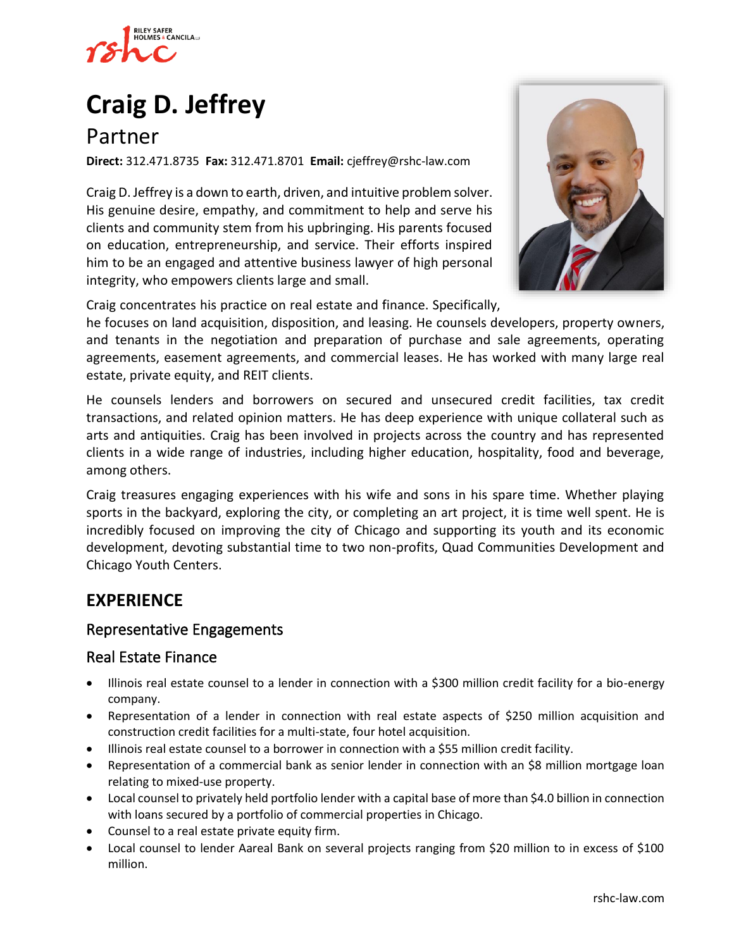

# **[Craig D. Jeffrey](https://www.rshc-law.com/attorneys/attorney/craig-d.-jeffrey)**

Partner

**Direct:** 312.471.8735 **Fax:** 312.471.8701 **Email:** cjeffrey@rshc-law.com

Craig D. Jeffrey is a down to earth, driven, and intuitive problem solver. His genuine desire, empathy, and commitment to help and serve his clients and community stem from his upbringing. His parents focused on education, entrepreneurship, and service. Their efforts inspired him to be an engaged and attentive business lawyer of high personal integrity, who empowers clients large and small.



Craig concentrates his practice on real estate and finance. Specifically,

he focuses on land acquisition, disposition, and leasing. He counsels developers, property owners, and tenants in the negotiation and preparation of purchase and sale agreements, operating agreements, easement agreements, and commercial leases. He has worked with many large real estate, private equity, and REIT clients.

He counsels lenders and borrowers on secured and unsecured credit facilities, tax credit transactions, and related opinion matters. He has deep experience with unique collateral such as arts and antiquities. Craig has been involved in projects across the country and has represented clients in a wide range of industries, including higher education, hospitality, food and beverage, among others.

Craig treasures engaging experiences with his wife and sons in his spare time. Whether playing sports in the backyard, exploring the city, or completing an art project, it is time well spent. He is incredibly focused on improving the city of Chicago and supporting its youth and its economic development, devoting substantial time to two non-profits, Quad Communities Development and Chicago Youth Centers.

# **EXPERIENCE**

#### Representative Engagements

## Real Estate Finance

- Illinois real estate counsel to a lender in connection with a \$300 million credit facility for a bio-energy company.
- Representation of a lender in connection with real estate aspects of \$250 million acquisition and construction credit facilities for a multi-state, four hotel acquisition.
- Illinois real estate counsel to a borrower in connection with a \$55 million credit facility.
- Representation of a commercial bank as senior lender in connection with an \$8 million mortgage loan relating to mixed-use property.
- Local counsel to privately held portfolio lender with a capital base of more than \$4.0 billion in connection with loans secured by a portfolio of commercial properties in Chicago.
- Counsel to a real estate private equity firm.
- Local counsel to lender Aareal Bank on several projects ranging from \$20 million to in excess of \$100 million.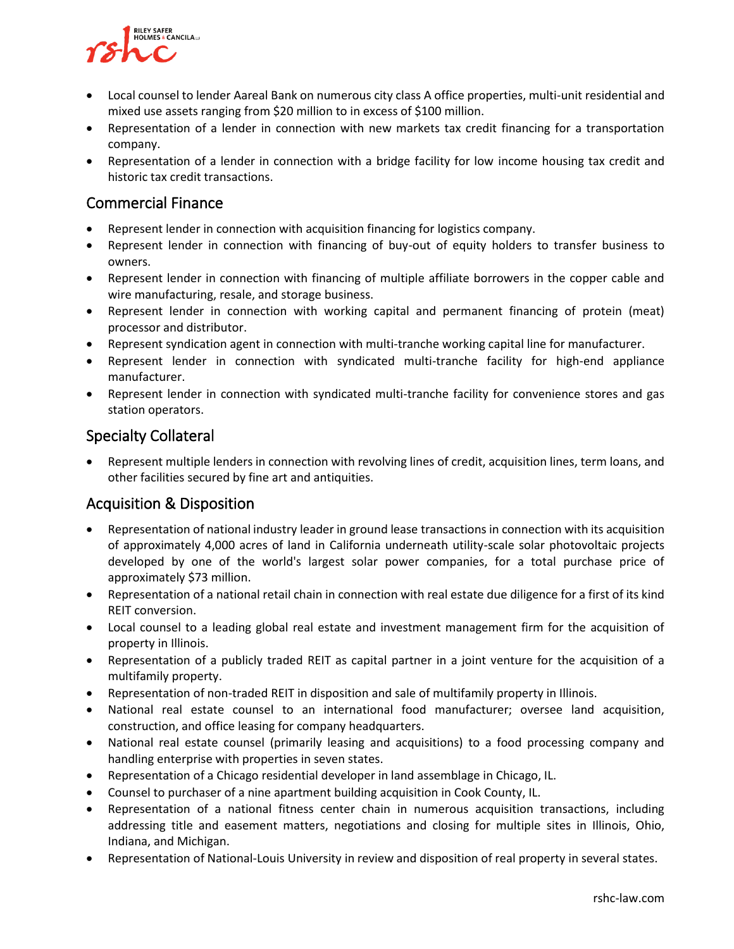

- Local counsel to lender Aareal Bank on numerous city class A office properties, multi-unit residential and mixed use assets ranging from \$20 million to in excess of \$100 million.
- Representation of a lender in connection with new markets tax credit financing for a transportation company.
- Representation of a lender in connection with a bridge facility for low income housing tax credit and historic tax credit transactions.

## Commercial Finance

- Represent lender in connection with acquisition financing for logistics company.
- Represent lender in connection with financing of buy-out of equity holders to transfer business to owners.
- Represent lender in connection with financing of multiple affiliate borrowers in the copper cable and wire manufacturing, resale, and storage business.
- Represent lender in connection with working capital and permanent financing of protein (meat) processor and distributor.
- Represent syndication agent in connection with multi-tranche working capital line for manufacturer.
- Represent lender in connection with syndicated multi-tranche facility for high-end appliance manufacturer.
- Represent lender in connection with syndicated multi-tranche facility for convenience stores and gas station operators.

## Specialty Collateral

• Represent multiple lenders in connection with revolving lines of credit, acquisition lines, term loans, and other facilities secured by fine art and antiquities.

## Acquisition & Disposition

- Representation of national industry leader in ground lease transactions in connection with its acquisition of approximately 4,000 acres of land in California underneath utility-scale solar photovoltaic projects developed by one of the world's largest solar power companies, for a total purchase price of approximately \$73 million.
- Representation of a national retail chain in connection with real estate due diligence for a first of its kind REIT conversion.
- Local counsel to a leading global real estate and investment management firm for the acquisition of property in Illinois.
- Representation of a publicly traded REIT as capital partner in a joint venture for the acquisition of a multifamily property.
- Representation of non-traded REIT in disposition and sale of multifamily property in Illinois.
- National real estate counsel to an international food manufacturer; oversee land acquisition, construction, and office leasing for company headquarters.
- National real estate counsel (primarily leasing and acquisitions) to a food processing company and handling enterprise with properties in seven states.
- Representation of a Chicago residential developer in land assemblage in Chicago, IL.
- Counsel to purchaser of a nine apartment building acquisition in Cook County, IL.
- Representation of a national fitness center chain in numerous acquisition transactions, including addressing title and easement matters, negotiations and closing for multiple sites in Illinois, Ohio, Indiana, and Michigan.
- Representation of National-Louis University in review and disposition of real property in several states.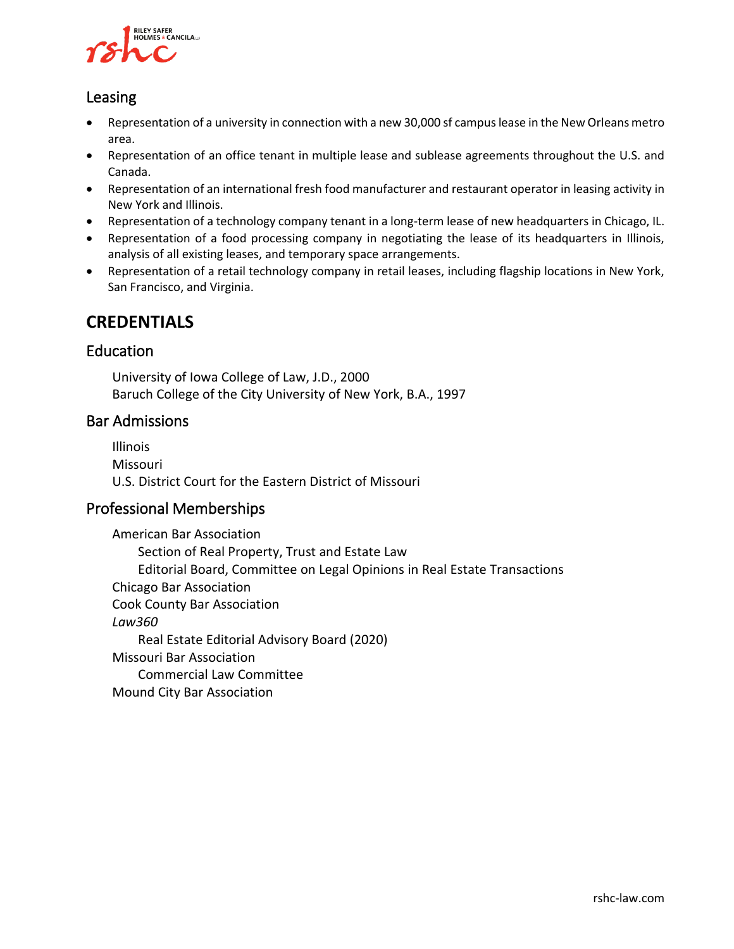

## Leasing

- Representation of a university in connection with a new 30,000 sf campus lease in the New Orleans metro area.
- Representation of an office tenant in multiple lease and sublease agreements throughout the U.S. and Canada.
- Representation of an international fresh food manufacturer and restaurant operator in leasing activity in New York and Illinois.
- Representation of a technology company tenant in a long-term lease of new headquarters in Chicago, IL.
- Representation of a food processing company in negotiating the lease of its headquarters in Illinois, analysis of all existing leases, and temporary space arrangements.
- Representation of a retail technology company in retail leases, including flagship locations in New York, San Francisco, and Virginia.

## **CREDENTIALS**

#### Education

University of Iowa College of Law, J.D., 2000 Baruch College of the City University of New York, B.A., 1997

## Bar Admissions

Illinois Missouri U.S. District Court for the Eastern District of Missouri

## Professional Memberships

American Bar Association Section of Real Property, Trust and Estate Law Editorial Board, Committee on Legal Opinions in Real Estate Transactions Chicago Bar Association Cook County Bar Association *Law360* Real Estate Editorial Advisory Board (2020) Missouri Bar Association Commercial Law Committee Mound City Bar Association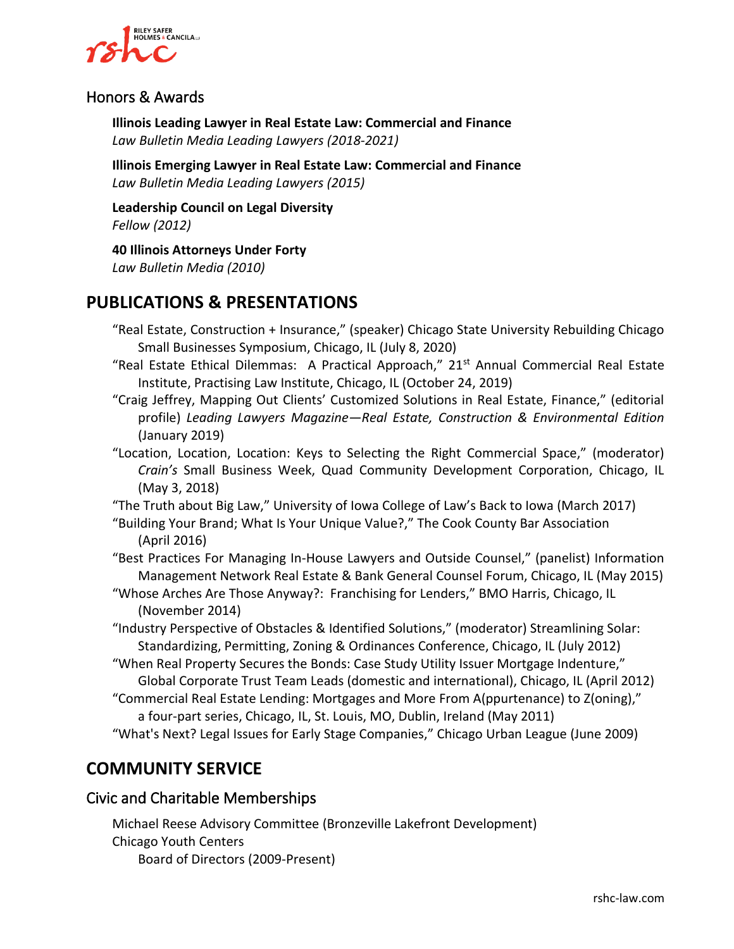

## Honors & Awards

**Illinois Leading Lawyer in Real Estate Law: Commercial and Finance** *Law Bulletin Media Leading Lawyers (2018-2021)*

**Illinois Emerging Lawyer in Real Estate Law: Commercial and Finance** *Law Bulletin Media Leading Lawyers (2015)*

**Leadership Council on Legal Diversity** *Fellow (2012)*

**40 Illinois Attorneys Under Forty** *Law Bulletin Media (2010)*

## **PUBLICATIONS & PRESENTATIONS**

- "Real Estate, Construction + Insurance," (speaker) Chicago State University Rebuilding Chicago Small Businesses Symposium, Chicago, IL (July 8, 2020)
- "Real Estate Ethical Dilemmas: A Practical Approach," 21st Annual Commercial Real Estate Institute, Practising Law Institute, Chicago, IL (October 24, 2019)
- "Craig Jeffrey, Mapping Out Clients' Customized Solutions in Real Estate, Finance," (editorial profile) *Leading Lawyers Magazine—Real Estate, Construction & Environmental Edition* (January 2019)
- "Location, Location, Location: Keys to Selecting the Right Commercial Space," (moderator) *Crain's* Small Business Week, Quad Community Development Corporation, Chicago, IL (May 3, 2018)

"The Truth about Big Law," University of Iowa College of Law's Back to Iowa (March 2017)

"Building Your Brand; What Is Your Unique Value?," The Cook County Bar Association (April 2016)

"Best Practices For Managing In-House Lawyers and Outside Counsel," (panelist) Information Management Network Real Estate & Bank General Counsel Forum, Chicago, IL (May 2015)

- "Whose Arches Are Those Anyway?: Franchising for Lenders," BMO Harris, Chicago, IL (November 2014)
- "Industry Perspective of Obstacles & Identified Solutions," (moderator) Streamlining Solar: Standardizing, Permitting, Zoning & Ordinances Conference, Chicago, IL (July 2012)
- "When Real Property Secures the Bonds: Case Study Utility Issuer Mortgage Indenture," Global Corporate Trust Team Leads (domestic and international), Chicago, IL (April 2012)
- "Commercial Real Estate Lending: Mortgages and More From A(ppurtenance) to Z(oning)," a four-part series, Chicago, IL, St. Louis, MO, Dublin, Ireland (May 2011)
- "What's Next? Legal Issues for Early Stage Companies," Chicago Urban League (June 2009)

## **COMMUNITY SERVICE**

## Civic and Charitable Memberships

Michael Reese Advisory Committee (Bronzeville Lakefront Development) Chicago Youth Centers Board of Directors (2009-Present)